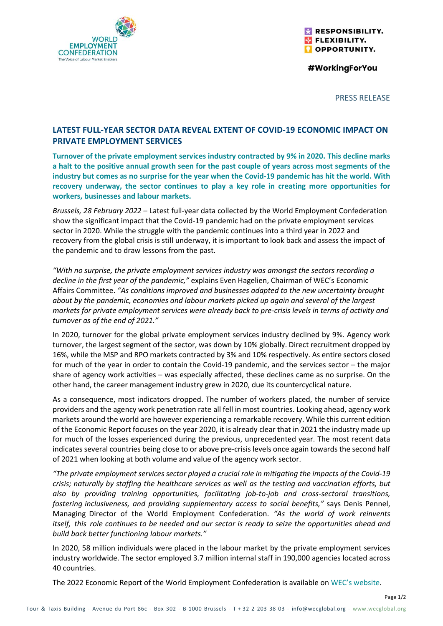

RESPONSIBILITY. **FLEXIBILITY. OPPORTUNITY.** 

#WorkingForYou

PRESS RELEASE

Page 1/2

## **LATEST FULL-YEAR SECTOR DATA REVEAL EXTENT OF COVID-19 ECONOMIC IMPACT ON PRIVATE EMPLOYMENT SERVICES**

**Turnover of the private employment services industry contracted by 9% in 2020. This decline marks a halt to the positive annual growth seen for the past couple of years across most segments of the industry but comes as no surprise for the year when the Covid-19 pandemic has hit the world. With recovery underway, the sector continues to play a key role in creating more opportunities for workers, businesses and labour markets.** 

*Brussels, 28 February 2022* – Latest full-year data collected by the World Employment Confederation show the significant impact that the Covid-19 pandemic had on the private employment services sector in 2020. While the struggle with the pandemic continues into a third year in 2022 and recovery from the global crisis is still underway, it is important to look back and assess the impact of the pandemic and to draw lessons from the past.

*"With no surprise, the private employment services industry was amongst the sectors recording a decline in the first year of the pandemic,"* explains Even Hagelien, Chairman of WEC's Economic Affairs Committee. *"As conditions improved and businesses adapted to the new uncertainty brought about by the pandemic, economies and labour markets picked up again and several of the largest markets for private employment services were already back to pre-crisis levels in terms of activity and turnover as of the end of 2021."*

In 2020, turnover for the global private employment services industry declined by 9%. Agency work turnover, the largest segment of the sector, was down by 10% globally. Direct recruitment dropped by 16%, while the MSP and RPO markets contracted by 3% and 10% respectively. As entire sectors closed for much of the year in order to contain the Covid-19 pandemic, and the services sector – the major share of agency work activities – was especially affected, these declines came as no surprise. On the other hand, the career management industry grew in 2020, due its countercyclical nature.

As a consequence, most indicators dropped. The number of workers placed, the number of service providers and the agency work penetration rate all fell in most countries. Looking ahead, agency work markets around the world are however experiencing a remarkable recovery. While this current edition of the Economic Report focuses on the year 2020, it is already clear that in 2021 the industry made up for much of the losses experienced during the previous, unprecedented year. The most recent data indicates several countries being close to or above pre-crisis levels once again towards the second half of 2021 when looking at both volume and value of the agency work sector.

*"The private employment services sector played a crucial role in mitigating the impacts of the Covid-19 crisis; naturally by staffing the healthcare services as well as the testing and vaccination efforts, but also by providing training opportunities, facilitating job-to-job and cross-sectoral transitions, fostering inclusiveness, and providing supplementary access to social benefits,"* says Denis Pennel, Managing Director of the World Employment Confederation. *"As the world of work reinvents itself, this role continues to be needed and our sector is ready to seize the opportunities ahead and build back better functioning labour markets."* 

In 2020, 58 million individuals were placed in the labour market by the private employment services industry worldwide. The sector employed 3.7 million internal staff in 190,000 agencies located across 40 countries.

The 2022 Economic Report of the World Employment Confederation is available on [WEC's website](https://wecglobal.org/publication-post/economic-report-2022).